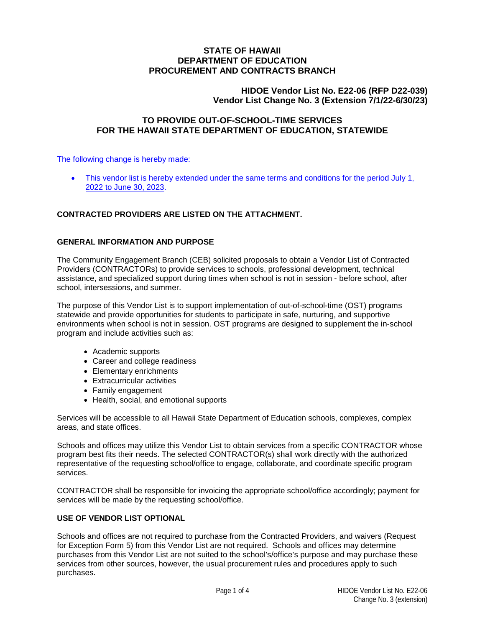# **STATE OF HAWAII DEPARTMENT OF EDUCATION PROCUREMENT AND CONTRACTS BRANCH**

# **HIDOE Vendor List No. E22-06 (RFP D22-039) Vendor List Change No. 3 (Extension 7/1/22-6/30/23)**

# **TO PROVIDE OUT-OF-SCHOOL-TIME SERVICES FOR THE HAWAII STATE DEPARTMENT OF EDUCATION, STATEWIDE**

The following change is hereby made:

This vendor list is hereby extended under the same terms and conditions for the period July 1, 2022 to June 30, 2023.

# **CONTRACTED PROVIDERS ARE LISTED ON THE ATTACHMENT.**

## **GENERAL INFORMATION AND PURPOSE**

The Community Engagement Branch (CEB) solicited proposals to obtain a Vendor List of Contracted Providers (CONTRACTORs) to provide services to schools, professional development, technical assistance, and specialized support during times when school is not in session - before school, after school, intersessions, and summer.

The purpose of this Vendor List is to support implementation of out-of-school-time (OST) programs statewide and provide opportunities for students to participate in safe, nurturing, and supportive environments when school is not in session. OST programs are designed to supplement the in-school program and include activities such as:

- Academic supports
- Career and college readiness
- Elementary enrichments
- Extracurricular activities
- Family engagement
- Health, social, and emotional supports

Services will be accessible to all Hawaii State Department of Education schools, complexes, complex areas, and state offices.

Schools and offices may utilize this Vendor List to obtain services from a specific CONTRACTOR whose program best fits their needs. The selected CONTRACTOR(s) shall work directly with the authorized representative of the requesting school/office to engage, collaborate, and coordinate specific program services.

CONTRACTOR shall be responsible for invoicing the appropriate school/office accordingly; payment for services will be made by the requesting school/office.

## **USE OF VENDOR LIST OPTIONAL**

Schools and offices are not required to purchase from the Contracted Providers, and waivers (Request for Exception Form 5) from this Vendor List are not required. Schools and offices may determine purchases from this Vendor List are not suited to the school's/office's purpose and may purchase these services from other sources, however, the usual procurement rules and procedures apply to such purchases.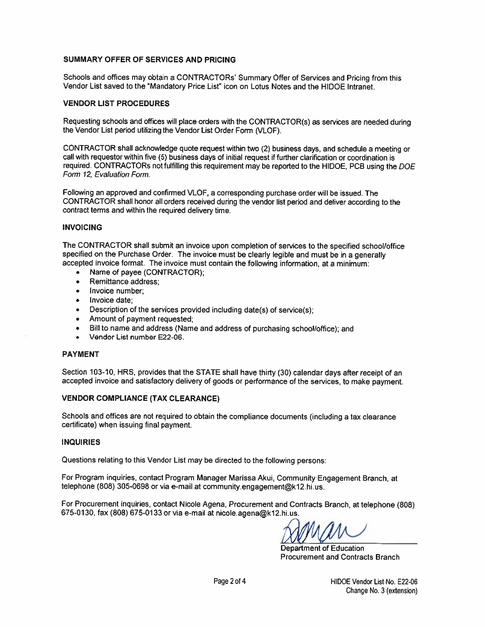#### SUMMARY OFFER OF SERVICES AND PRICING

Schools and offices may obtain a CONTRACTORs' Summary Offer of Services and Pricing from this Vendor List saved to the "Mandatory Price List" icon on Lotus Notes and the HIDOE Intranet.

#### **VENDOR LIST PROCEDURES**

Requesting schools and offices will place orders with the CONTRACTOR(s) as services are needed during the Vendor List period utilizing the Vendor List Order Form (VLOF).

CONTRACTOR shall acknowledge quote request within two (2) business days, and schedule a meeting or call with requestor within five (5) business days of initial request if further clarification or coordination is required. CONTRACTORs not fulfilling this requirement may be reported to the HIDOE, PCB using the DOE Form 12, Evaluation Form.

Following an approved and confirmed VLOF, a corresponding purchase order will be issued. The CONTRACTOR shall honor all orders received during the vendor list period and deliver according to the contract terms and within the required delivery time.

#### **INVOICING**

The CONTRACTOR shall submit an invoice upon completion of services to the specified school/office specified on the Purchase Order. The invoice must be clearly legible and must be in a generally accepted invoice format. The invoice must contain the following information, at a minimum:

- Name of payee (CONTRACTOR);
- Remittance address:
- Invoice number:  $\bullet$
- Invoice date:
- Description of the services provided including date(s) of service(s);
- Amount of payment requested:  $\bullet$
- Bill to name and address (Name and address of purchasing school/office); and
- Vendor List number E22-06.

#### **PAYMENT**

Section 103-10, HRS, provides that the STATE shall have thirty (30) calendar days after receipt of an accepted invoice and satisfactory delivery of goods or performance of the services, to make payment.

## **VENDOR COMPLIANCE (TAX CLEARANCE)**

Schools and offices are not required to obtain the compliance documents (including a tax clearance certificate) when issuing final payment.

#### **INQUIRIES**

Questions relating to this Vendor List may be directed to the following persons:

For Program inquiries, contact Program Manager Marissa Akui, Community Engagement Branch, at telephone (808) 305-0698 or via e-mail at community engagement@k12.hi.us.

For Procurement inquiries, contact Nicole Agena, Procurement and Contracts Branch, at telephone (808) 675-0130, fax (808) 675-0133 or via e-mail at nicole.agena@k12.hi.us.

Department of Education **Procurement and Contracts Branch**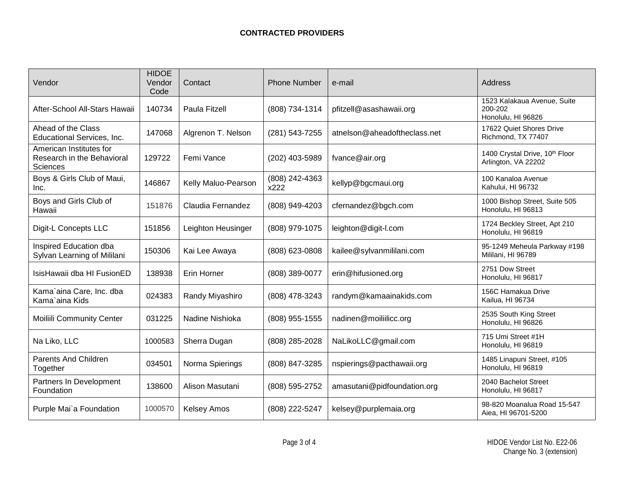| Vendor                                                                   | <b>HIDOE</b><br>Vendor<br>Code | Contact             | <b>Phone Number</b>    | e-mail                       | Address                                                      |
|--------------------------------------------------------------------------|--------------------------------|---------------------|------------------------|------------------------------|--------------------------------------------------------------|
| After-School All-Stars Hawaii                                            | 140734                         | Paula Fitzell       | (808) 734-1314         | pfitzell@asashawaii.org      | 1523 Kalakaua Avenue, Suite<br>200-202<br>Honolulu, HI 96826 |
| Ahead of the Class<br>Educational Services, Inc.                         | 147068                         | Algrenon T. Nelson  | (281) 543-7255         | atnelson@aheadoftheclass.net | 17622 Quiet Shores Drive<br>Richmond, TX 77407               |
| American Institutes for<br>Research in the Behavioral<br><b>Sciences</b> | 129722                         | Femi Vance          | (202) 403-5989         | fvance@air.org               | 1400 Crystal Drive, 10th Floor<br>Arlington, VA 22202        |
| Boys & Girls Club of Maui,<br>Inc.                                       | 146867                         | Kelly Maluo-Pearson | (808) 242-4363<br>x222 | kellyp@bgcmaui.org           | 100 Kanaloa Avenue<br>Kahului, HI 96732                      |
| Boys and Girls Club of<br>Hawaii                                         | 151876                         | Claudia Fernandez   | (808) 949-4203         | cfernandez@bgch.com          | 1000 Bishop Street, Suite 505<br>Honolulu, HI 96813          |
| Digit-L Concepts LLC                                                     | 151856                         | Leighton Heusinger  | (808) 979-1075         | leighton@digit-l.com         | 1724 Beckley Street, Apt 210<br>Honolulu, HI 96819           |
| Inspired Education dba<br>Sylvan Learning of Mililani                    | 150306                         | Kai Lee Awaya       | (808) 623-0808         | kailee@sylvanmililani.com    | 95-1249 Meheula Parkway #198<br>Mililani, HI 96789           |
| IsisHawaii dba HI FusionED                                               | 138938                         | Erin Horner         | (808) 389-0077         | erin@hifusioned.org          | 2751 Dow Street<br>Honolulu, HI 96817                        |
| Kama'aina Care, Inc. dba<br>Kama`aina Kids                               | 024383                         | Randy Miyashiro     | (808) 478-3243         | randym@kamaainakids.com      | 156C Hamakua Drive<br>Kailua, HI 96734                       |
| <b>Moiliili Community Center</b>                                         | 031225                         | Nadine Nishioka     | (808) 955-1555         | nadinen@moiliilicc.org       | 2535 South King Street<br>Honolulu, HI 96826                 |
| Na Liko, LLC                                                             | 1000583                        | Sherra Dugan        | (808) 285-2028         | NaLikoLLC@gmail.com          | 715 Umi Street #1H<br>Honolulu, HI 96819                     |
| <b>Parents And Children</b><br>Together                                  | 034501                         | Norma Spierings     | (808) 847-3285         | nspierings@pacthawaii.org    | 1485 Linapuni Street, #105<br>Honolulu, HI 96819             |
| Partners In Development<br>Foundation                                    | 138600                         | Alison Masutani     | (808) 595-2752         | amasutani@pidfoundation.org  | 2040 Bachelot Street<br>Honolulu, HI 96817                   |
| Purple Mai`a Foundation                                                  | 1000570                        | <b>Kelsey Amos</b>  | (808) 222-5247         | kelsey@purplemaia.org        | 98-820 Moanalua Road 15-547<br>Aiea, HI 96701-5200           |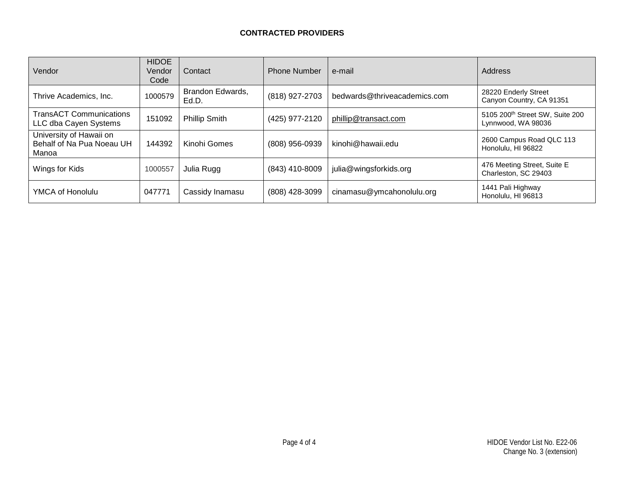# **CONTRACTED PROVIDERS**

| Vendor                                                        | <b>HIDOE</b><br>Vendor<br>Code | Contact                   | <b>Phone Number</b>                         | e-mail                       | Address                                                           |
|---------------------------------------------------------------|--------------------------------|---------------------------|---------------------------------------------|------------------------------|-------------------------------------------------------------------|
| Thrive Academics, Inc.                                        | 1000579                        | Brandon Edwards,<br>Ed.D. | (818) 927-2703                              | bedwards@thriveacademics.com | 28220 Enderly Street<br>Canyon Country, CA 91351                  |
| <b>TransACT Communications</b><br>LLC dba Cayen Systems       | 151092                         | <b>Phillip Smith</b>      | (425) 977-2120                              | phillip@transact.com         | 5105 200 <sup>th</sup> Street SW, Suite 200<br>Lynnwood, WA 98036 |
| University of Hawaii on<br>Behalf of Na Pua Noeau UH<br>Manoa | 144392                         | Kinohi Gomes              | (808) 956-0939                              | kinohi@hawaii.edu            | 2600 Campus Road QLC 113<br>Honolulu, HI 96822                    |
| Wings for Kids                                                | 1000557                        | Julia Rugg                | (843) 410-8009                              | julia@wingsforkids.org       | 476 Meeting Street, Suite E<br>Charleston, SC 29403               |
| YMCA of Honolulu                                              | 047771                         | Cassidy Inamasu           | cinamasu@ymcahonolulu.org<br>(808) 428-3099 |                              | 1441 Pali Highway<br>Honolulu, HI 96813                           |